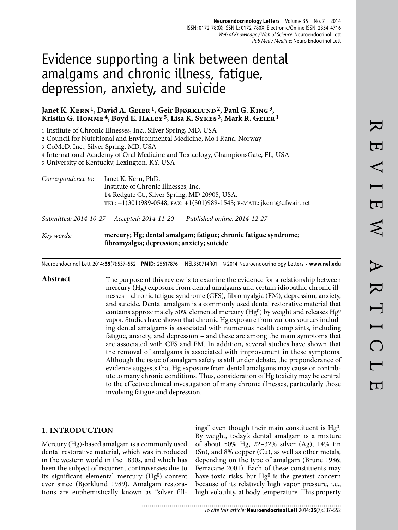# Evidence supporting a link between dental amalgams and chronic illness, fatigue, depression, anxiety, and suicide

## Janet K. KERN<sup>1</sup>, David A. GEIER<sup>1</sup>, Geir BJØRKLUND<sup>2</sup>, Paul G. KING<sup>3</sup>, **Kristin G. Homme 4, Boyd E. Haley 5, Lisa K. Sykes 3, Mark R. Geier 1**

1 Institute of Chronic Illnesses, Inc., Silver Spring, MD, USA

2 Council for Nutritional and Environmental Medicine, Mo i Rana, Norway

3 CoMeD, Inc., Silver Spring, MD, USA

4 International Academy of Oral Medicine and Toxicology, ChampionsGate, FL, USA

5 University of Kentucky, Lexington, KY, USA

| Correspondence to: | Janet K. Kern, PhD.                                                  |
|--------------------|----------------------------------------------------------------------|
|                    | Institute of Chronic Illnesses, Inc.                                 |
|                    | 14 Redgate Ct., Silver Spring, MD 20905, USA.                        |
|                    | TEL: +1(301)989-0548; FAX: +1(301)989-1543; E-MAIL: jkern@dfwair.net |
|                    |                                                                      |

*Submitted: 2014-10-27 Accepted: 2014-11-20 Published online: 2014-12-27*

#### *Key words:* **mercury; Hg; dental amalgam; fatigue; chronic fatigue syndrome; fibromyalgia; depression; anxiety; suicide**

...........................

Neuroendocrinol Lett 2014; **35**(7):537–552 **PMID:** 25617876 NEL350714R01 © 2014 Neuroendocrinology Letters • **www.nel.edu**

Abstract The purpose of this review is to examine the evidence for a relationship between mercury (Hg) exposure from dental amalgams and certain idiopathic chronic illnesses – chronic fatigue syndrome (CFS), fibromyalgia (FM), depression, anxiety, and suicide. Dental amalgam is a commonly used dental restorative material that contains approximately 50% elemental mercury (Hg<sup>0</sup>) by weight and releases Hg<sup>0</sup> vapor. Studies have shown that chronic Hg exposure from various sources including dental amalgams is associated with numerous health complaints, including fatigue, anxiety, and depression – and these are among the main symptoms that are associated with CFS and FM. In addition, several studies have shown that the removal of amalgams is associated with improvement in these symptoms. Although the issue of amalgam safety is still under debate, the preponderance of evidence suggests that Hg exposure from dental amalgams may cause or contribute to many chronic conditions. Thus, consideration of Hg toxicity may be central to the effective clinical investigation of many chronic illnesses, particularly those involving fatigue and depression.

## **1. INTRODUCTION**

Mercury (Hg)-based amalgam is a commonly used dental restorative material, which was introduced in the western world in the 1830s, and which has been the subject of recurrent controversies due to its significant elemental mercury (Hg<sup>0</sup>) content ever since (Bjørklund 1989). Amalgam restorations are euphemistically known as "silver fillings" even though their main constituent is Hg0. By weight, today's dental amalgam is a mixture of about 50% Hg, 22–32% silver (Ag), 14% tin (Sn), and 8% copper (Cu), as well as other metals, depending on the type of amalgam (Brune 1986; Ferracane 2001). Each of these constituents may have toxic risks, but  $Hg<sup>0</sup>$  is the greatest concern because of its relatively high vapor pressure, i.e., high volatility, at body temperature. This property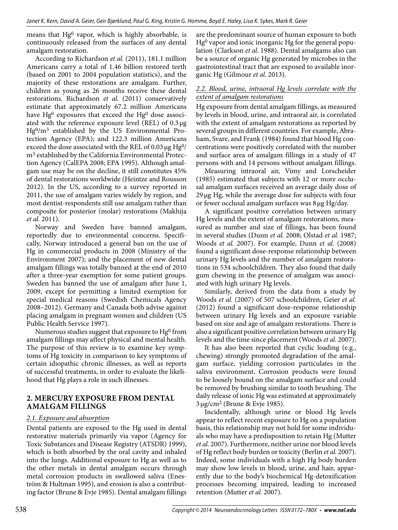means that Hg0 vapor, which is highly absorbable, is continuously released from the surfaces of any dental amalgam restoration.

According to Richardson *et al.* (2011), 181.1 million Americans carry a total of 1.46 billion restored teeth (based on 2001 to 2004 population statistics), and the majority of these restorations are amalgam. Further, children as young as 26 months receive these dental restorations. Richardson *et al.* (2011) conservatively estimate that approximately 67.2 million Americans have  $Hg^0$  exposures that exceed the  $Hg^0$  dose associated with the reference exposure level (REL) of 0.3 μg Hg0/m3 established by the US Environmental Protection Agency (EPA); and 122.3 million Americans exceed the dose associated with the REL of 0.03 μg Hg0/ m<sup>3</sup> established by the California Environmental Protection Agency (CalEPA 2008; EPA 1995). Although amalgam use may be on the decline, it still constitutes 45% of dental restorations worldwide (Heintze and Rousson 2012). In the US, according to a survey reported in 2011, the use of amalgam varies widely by region, and most dentist-respondents still use amalgam rather than composite for posterior (molar) restorations (Makhija *et al.* 2011).

Norway and Sweden have banned amalgam, reportedly due to environmental concerns. Specifically, Norway introduced a general ban on the use of Hg in commercial products in 2008 (Ministry of the Environment 2007); and the placement of new dental amalgam fillings was totally banned at the end of 2010 after a three-year exemption for some patient groups. Sweden has banned the use of amalgam after June 1, 2009, except for permitting a limited exemption for special medical reasons (Swedish Chemicals Agency 2008–2012). Germany and Canada both advise against placing amalgam in pregnant women and children (US Public Health Service 1997).

Numerous studies suggest that exposure to  $Hg<sup>0</sup>$  from amalgam fillings may affect physical and mental health. The purpose of this review is to examine key symptoms of Hg toxicity in comparison to key symptoms of certain idiopathic chronic illnesses, as well as reports of successful treatments, in order to evaluate the likelihood that Hg plays a role in such illnesses.

## **2. MERCURY EXPOSURE FROM DENTAL AMALGAM FILLINGS**

## *2.1. Exposure and absorption*

Dental patients are exposed to the Hg used in dental restorative materials primarily via vapor (Agency for Toxic Substances and Disease Registry (ATSDR) 1999), which is both absorbed by the oral cavity and inhaled into the lungs. Additional exposure to Hg as well as to the other metals in dental amalgam occurs through metal corrosion products in swallowed saliva (Eneström & Hultman 1995), and erosion is also a contributing factor (Brune & Evje 1985). Dental amalgam fillings

are the predominant source of human exposure to both  $Hg<sup>0</sup>$  vapor and ionic inorganic Hg for the general population (Clarkson *et al.* 1988). Dental amalgams also can be a source of organic Hg generated by microbes in the gastrointestinal tract that are exposed to available inorganic Hg (Gilmour *et al.* 2013).

## *2.2. Blood, urine, intraoral Hg levels correlate with the extent of amalgam restorations*

Hg exposure from dental amalgam fillings, as measured by levels in blood, urine, and intraoral air, is correlated with the extent of amalgam restorations as reported by several groups in different countries. For example, Abraham, Svare, and Frank (1984) found that blood Hg concentrations were positively correlated with the number and surface area of amalgam fillings in a study of 47 persons with and 14 persons without amalgam fillings.

Measuring intraoral air, Vimy and Lorscheider (1985) estimated that subjects with 12 or more occlusal amalgam surfaces received an average daily dose of 29 μg Hg, while the average dose for subjects with four or fewer occlusal amalgam surfaces was 8 μg Hg/day.

A significant positive correlation between urinary Hg levels and the extent of amalgam restorations, measured as number and size of fillings, has been found in several studies (Dunn *et al.* 2008; Olstad *et al.* 1987; Woods *et al.* 2007). For example, Dunn *et al.* (2008) found a significant dose-response relationship between urinary Hg levels and the number of amalgam restorations in 534 schoolchildren. They also found that daily gum chewing in the presence of amalgam was associated with high urinary Hg levels.

Similarly, derived from the data from a study by Woods *et al.* (2007) of 507 schoolchildren, Geier *et al.*  (2012) found a significant dose-response relationship between urinary Hg levels and an exposure variable based on size and age of amalgam restorations. There is also a significant positive correlation between urinary Hg levels and the time since placement (Woods *et al.* 2007).

It has also been reported that cyclic loading (e.g., chewing) strongly promoted degradation of the amalgam surface, yielding corrosion particulates in the saliva environment. Corrosion products were found to be loosely bound on the amalgam surface and could be removed by brushing similar to tooth brushing. The daily release of ionic Hg was estimated at approximately 3 μg/cm2 (Brune & Evje 1985).

Incidentally, although urine or blood Hg levels appear to reflect recent exposure to Hg on a population basis, this relationship may not hold for some individuals who may have a predisposition to retain Hg (Mutter *et al.* 2007). Furthermore, neither urine nor blood levels of Hg reflect body burden or toxicity (Berlin *et al.* 2007). Indeed, some individuals with a high Hg body burden may show low levels in blood, urine, and hair, apparently due to the body's biochemical Hg-detoxification processes becoming impaired, leading to increased retention (Mutter *et al.* 2007).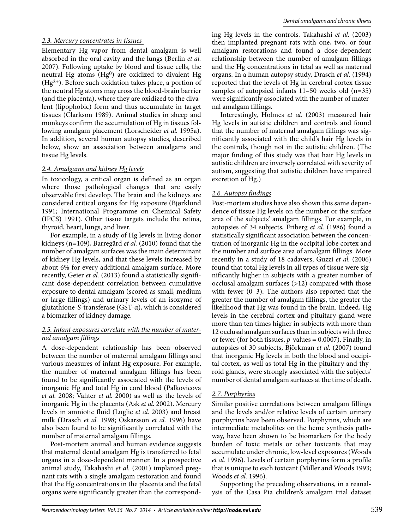#### *2.3. Mercury concentrates in tissues*

Elementary Hg vapor from dental amalgam is well absorbed in the oral cavity and the lungs (Berlin *et al.*  2007). Following uptake by blood and tissue cells, the neutral Hg atoms  $(Hg<sup>0</sup>)$  are oxidized to divalent Hg  $(Hg<sup>2+</sup>)$ . Before such oxidation takes place, a portion of the neutral Hg atoms may cross the blood-brain barrier (and the placenta), where they are oxidized to the divalent (lipophobic) form and thus accumulate in target tissues (Clarkson 1989). Animal studies in sheep and monkeys confirm the accumulation of Hg in tissues following amalgam placement (Lorscheider *et al.* 1995a). In addition, several human autopsy studies, described below, show an association between amalgams and tissue Hg levels.

#### *2.4. Amalgams and kidney Hg levels*

In toxicology, a critical organ is defined as an organ where those pathological changes that are easily observable first develop. The brain and the kidneys are considered critical organs for Hg exposure (Bjørklund 1991; International Programme on Chemical Safety (IPCS) 1991). Other tissue targets include the retina, thyroid, heart, lungs, and liver.

For example, in a study of Hg levels in living donor kidneys (n=109), Barregård *et al.* (2010) found that the number of amalgam surfaces was the main determinant of kidney Hg levels, and that these levels increased by about 6% for every additional amalgam surface. More recently, Geier *et al.* (2013) found a statistically significant dose-dependent correlation between cumulative exposure to dental amalgam (scored as small, medium or large fillings) and urinary levels of an isozyme of glutathione-*S*-transferase (GST-α), which is considered a biomarker of kidney damage.

## *2.5. Infant exposures correlate with the number of maternal amalgam fillings*

A dose-dependent relationship has been observed between the number of maternal amalgam fillings and various measures of infant Hg exposure. For example, the number of maternal amalgam fillings has been found to be significantly associated with the levels of inorganic Hg and total Hg in cord blood (Palkovicova *et al.* 2008; Vahter *et al.* 2000) as well as the levels of inorganic Hg in the placenta (Ask *et al.* 2002). Mercury levels in amniotic fluid (Luglie *et al.* 2003) and breast milk (Drasch *et al.* 1998; Oskarsson *et al.* 1996) have also been found to be significantly correlated with the number of maternal amalgam fillings.

Post-mortem animal and human evidence suggests that maternal dental amalgam Hg is transferred to fetal organs in a dose-dependent manner. In a prospective animal study, Takahashi *et al.* (2001) implanted pregnant rats with a single amalgam restoration and found that the Hg concentrations in the placenta and the fetal organs were significantly greater than the corresponding Hg levels in the controls. Takahashi *et al.* (2003) then implanted pregnant rats with one, two, or four amalgam restorations and found a dose-dependent relationship between the number of amalgam fillings and the Hg concentrations in fetal as well as maternal organs. In a human autopsy study, Drasch *et al.* (1994) reported that the levels of Hg in cerebral cortex tissue samples of autopsied infants 11–50 weeks old (n=35) were significantly associated with the number of maternal amalgam fillings.

Interestingly, Holmes *et al.* (2003) measured hair Hg levels in autistic children and controls and found that the number of maternal amalgam fillings was significantly associated with the child's hair Hg levels in the controls, though not in the autistic children. (The major finding of this study was that hair Hg levels in autistic children are inversely correlated with severity of autism, suggesting that autistic children have impaired excretion of Hg.)

## *2.6. Autopsy findings*

Post-mortem studies have also shown this same dependence of tissue Hg levels on the number or the surface area of the subjects' amalgam fillings. For example, in autopsies of 34 subjects, Friberg *et al.* (1986) found a statistically significant association between the concentration of inorganic Hg in the occipital lobe cortex and the number and surface area of amalgam fillings. More recently in a study of 18 cadavers, Guzzi *et al.* (2006) found that total Hg levels in all types of tissue were significantly higher in subjects with a greater number of occlusal amalgam surfaces (>12) compared with those with fewer (0–3). The authors also reported that the greater the number of amalgam fillings, the greater the likelihood that Hg was found in the brain. Indeed, Hg levels in the cerebral cortex and pituitary gland were more than ten times higher in subjects with more than 12 occlusal amalgam surfaces than in subjects with three or fewer (for both tissues, *p*-values = 0.0007). Finally, in autopsies of 30 subjects, Björkman *et al.* (2007) found that inorganic Hg levels in both the blood and occipital cortex, as well as total Hg in the pituitary and thyroid glands, were strongly associated with the subjects' number of dental amalgam surfaces at the time of death.

## *2.7. Porphyrins*

Similar positive correlations between amalgam fillings and the levels and/or relative levels of certain urinary porphyrins have been observed. Porphyrins, which are intermediate metabolites on the heme synthesis pathway, have been shown to be biomarkers for the body burden of toxic metals or other toxicants that may accumulate under chronic, low-level exposures (Woods *et al.* 1996). Levels of certain porphyrins form a profile that is unique to each toxicant (Miller and Woods 1993; Woods *et al.* 1996).

Supporting the preceding observations, in a reanalysis of the Casa Pia children's amalgam trial dataset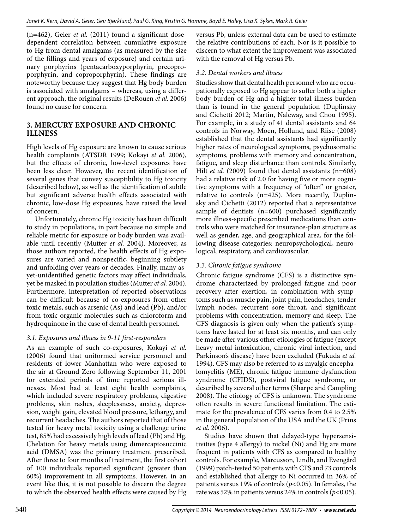(n=462), Geier *et al.* (2011) found a significant dosedependent correlation between cumulative exposure to Hg from dental amalgams (as measured by the size of the fillings and years of exposure) and certain urinary porphyrins (pentacarboxyporphyrin, precoproporphyrin, and coproporphyrin). These findings are noteworthy because they suggest that Hg body burden is associated with amalgams – whereas, using a different approach, the original results (DeRouen *et al.* 2006) found no cause for concern.

# **3. MERCURY EXPOSURE AND CHRONIC ILLNESS**

High levels of Hg exposure are known to cause serious health complaints (ATSDR 1999; Kokayi *et al.* 2006), but the effects of chronic, low-level exposures have been less clear. However, the recent identification of several genes that convey susceptibility to Hg toxicity (described below), as well as the identification of subtle but significant adverse health effects associated with chronic, low-dose Hg exposures, have raised the level of concern.

Unfortunately, chronic Hg toxicity has been difficult to study in populations, in part because no simple and reliable metric for exposure or body burden was available until recently (Mutter *et al.* 2004). Moreover, as those authors reported, the health effects of Hg exposures are varied and nonspecific, beginning subtlety and unfolding over years or decades. Finally, many asyet-unidentified genetic factors may affect individuals, yet be masked in population studies (Mutter *et al.* 2004). Furthermore, interpretation of reported observations can be difficult because of co-exposures from other toxic metals, such as arsenic (As) and lead (Pb), and/or from toxic organic molecules such as chloroform and hydroquinone in the case of dental health personnel.

## *3.1. Exposures and illness in 9-11 first-responders*

As an example of such co-exposures, Kokayi *et al.*  (2006) found that uniformed service personnel and residents of lower Manhattan who were exposed to the air at Ground Zero following September 11, 2001 for extended periods of time reported serious illnesses. Most had at least eight health complaints, which included severe respiratory problems, digestive problems, skin rashes, sleeplessness, anxiety, depression, weight gain, elevated blood pressure, lethargy, and recurrent headaches. The authors reported that of those tested for heavy metal toxicity using a challenge urine test, 85% had excessively high levels of lead (Pb) and Hg. Chelation for heavy metals using dimercaptosuccinic acid (DMSA) was the primary treatment prescribed. After three to four months of treatment, the first cohort of 100 individuals reported significant (greater than 60%) improvement in all symptoms. However, in an event like this, it is not possible to discern the degree to which the observed health effects were caused by Hg

versus Pb, unless external data can be used to estimate the relative contributions of each. Nor is it possible to discern to what extent the improvement was associated with the removal of Hg versus Pb.

## *3.2. Dental workers and illness*

Studies show that dental health personnel who are occupationally exposed to Hg appear to suffer both a higher body burden of Hg and a higher total illness burden than is found in the general population (Duplinsky and Cichetti 2012; Martin, Naleway, and Chou 1995). For example, in a study of 41 dental assistants and 64 controls in Norway, Moen, Hollund, and Riise (2008) established that the dental assistants had significantly higher rates of neurological symptoms, psychosomatic symptoms, problems with memory and concentration, fatigue, and sleep disturbance than controls. Similarly, Hilt *et al.* (2009) found that dental assistants (n=608) had a relative risk of 2.0 for having five or more cognitive symptoms with a frequency of "often" or greater, relative to controls (n=425). More recently, Duplinsky and Cichetti (2012) reported that a representative sample of dentists (n=600) purchased significantly more illness-specific prescribed medications than controls who were matched for insurance-plan structure as well as gender, age, and geographical area, for the following disease categories: neuropsychological, neurological, respiratory, and cardiovascular.

## *3.3. Chronic fatigue syndrome*

Chronic fatigue syndrome (CFS) is a distinctive syndrome characterized by prolonged fatigue and poor recovery after exertion, in combination with symptoms such as muscle pain, joint pain, headaches, tender lymph nodes, recurrent sore throat, and significant problems with concentration, memory and sleep. The CFS diagnosis is given only when the patient's symptoms have lasted for at least six months, and can only be made after various other etiologies of fatigue (except heavy metal intoxication, chronic viral infection, and Parkinson's disease) have been excluded (Fukuda *et al.*  1994). CFS may also be referred to as myalgic encephalomyelitis (ME), chronic fatigue immune dysfunction syndrome (CFIDS), postviral fatigue syndrome, or described by several other terms (Sharpe and Campling 2008). The etiology of CFS is unknown. The syndrome often results in severe functional limitation. The estimate for the prevalence of CFS varies from 0.4 to 2.5% in the general population of the USA and the UK (Prins *et al.* 2006).

Studies have shown that delayed-type hypersensitivities (type 4 allergy) to nickel (Ni) and Hg are more frequent in patients with CFS as compared to healthy controls. For example, Marcusson, Lindh, and Evengård (1999) patch-tested 50 patients with CFS and 73 controls and established that allergy to Ni occurred in 36% of patients versus 19% of controls (*p<*0.05). In females, the rate was 52% in patients versus 24% in controls (*p<*0.05).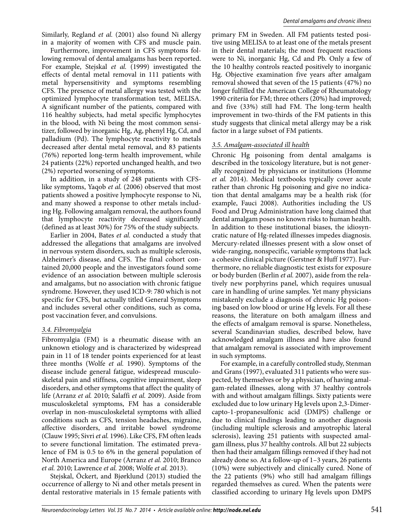Similarly, Regland *et al.* (2001) also found Ni allergy in a majority of women with CFS and muscle pain.

Furthermore, improvement in CFS symptoms following removal of dental amalgams has been reported. For example, Stejskal *et al.* (1999) investigated the effects of dental metal removal in 111 patients with metal hypersensitivity and symptoms resembling CFS. The presence of metal allergy was tested with the optimized lymphocyte transformation test, MELISA. A significant number of the patients, compared with 116 healthy subjects, had metal specific lymphocytes in the blood, with Ni being the most common sensitizer, followed by inorganic Hg, Ag, phenyl Hg, Cd, and palladium (Pd). The lymphocyte reactivity to metals decreased after dental metal removal, and 83 patients (76%) reported long-term health improvement, while 24 patients (22%) reported unchanged health, and two (2%) reported worsening of symptoms.

In addition, in a study of 248 patients with CFSlike symptoms, Yaqob *et al.* (2006) observed that most patients showed a positive lymphocyte response to Ni, and many showed a response to other metals including Hg. Following amalgam removal, the authors found that lymphocyte reactivity decreased significantly (defined as at least 30%) for 75% of the study subjects.

Earlier in 2004, Bates *et al.* conducted a study that addressed the allegations that amalgams are involved in nervous system disorders, such as multiple sclerosis, Alzheimer's disease, and CFS. The final cohort contained 20,000 people and the investigators found some evidence of an association between multiple sclerosis and amalgams, but no association with chronic fatigue syndrome. However, they used ICD-9: 780 which is not specific for CFS, but actually titled General Symptoms and includes several other conditions, such as coma, post vaccination fever, and convulsions.

## *3.4. Fibromyalgia*

Fibromyalgia (FM) is a rheumatic disease with an unknown etiology and is characterized by widespread pain in 11 of 18 tender points experienced for at least three months (Wolfe *et al.* 1990). Symptoms of the disease include general fatigue, widespread musculoskeletal pain and stiffness, cognitive impairment, sleep disorders, and other symptoms that affect the quality of life (Arranz *et al.* 2010; Salaffi *et al.* 2009). Aside from musculoskeletal symptoms, FM has a considerable overlap in non-musculoskeletal symptoms with allied conditions such as CFS, tension headaches, migraine, affective disorders, and irritable bowel syndrome (Clauw 1995; Sivri *et al.* 1996). Like CFS, FM often leads to severe functional limitation. The estimated prevalence of FM is 0.5 to 6% in the general population of North America and Europe (Arranz *et al.* 2010; Branco *et al.* 2010; Lawrence *et al.* 2008; Wolfe *et al.* 2013).

Stejskal, Öckert, and Bjørklund (2013) studied the occurrence of allergy to Ni and other metals present in dental restorative materials in 15 female patients with primary FM in Sweden. All FM patients tested positive using MELISA to at least one of the metals present in their dental materials; the most frequent reactions were to Ni, inorganic Hg, Cd and Pb. Only a few of the 10 healthy controls reacted positively to inorganic Hg. Objective examination five years after amalgam removal showed that seven of the 15 patients (47%) no longer fulfilled the American College of Rheumatology 1990 criteria for FM; three others (20%) had improved; and five (33%) still had FM. The long-term health improvement in two-thirds of the FM patients in this study suggests that clinical metal allergy may be a risk factor in a large subset of FM patients.

## *3.5. Amalgam-associated ill health*

Chronic Hg poisoning from dental amalgams is described in the toxicology literature, but is not generally recognized by physicians or institutions (Homme *et al.* 2014). Medical textbooks typically cover acute rather than chronic Hg poisoning and give no indication that dental amalgams may be a health risk (for example, Fauci 2008). Authorities including the US Food and Drug Administration have long claimed that dental amalgam poses no known risks to human health. In addition to these institutional biases, the idiosyncratic nature of Hg-related illnesses impedes diagnosis. Mercury-related illnesses present with a slow onset of wide-ranging, nonspecific, variable symptoms that lack a cohesive clinical picture (Gerstner & Huff 1977). Furthermore, no reliable diagnostic test exists for exposure or body burden (Berlin *et al.* 2007), aside from the relatively new porphyrins panel, which requires unusual care in handling of urine samples. Yet many physicians mistakenly exclude a diagnosis of chronic Hg poisoning based on low blood or urine Hg levels. For all these reasons, the literature on both amalgam illness and the effects of amalgam removal is sparse. Nonetheless, several Scandinavian studies, described below, have acknowledged amalgam illness and have also found that amalgam removal is associated with improvement in such symptoms.

For example, in a carefully controlled study, Stenman and Grans (1997), evaluated 311 patients who were suspected, by themselves or by a physician, of having amalgam-related illnesses, along with 37 healthy controls with and without amalgam fillings. Sixty patients were excluded due to low urinary Hg levels upon 2,3-Dimercapto-1-propanesulfonic acid (DMPS) challenge or due to clinical findings leading to another diagnosis (including multiple sclerosis and amyotrophic lateral sclerosis), leaving 251 patients with suspected amalgam illness, plus 37 healthy controls. All but 22 subjects then had their amalgam fillings removed if they had not already done so. At a follow-up of 1–3 years, 26 patients (10%) were subjectively and clinically cured. None of the 22 patients (9%) who still had amalgam fillings regarded themselves as cured. When the patents were classified according to urinary Hg levels upon DMPS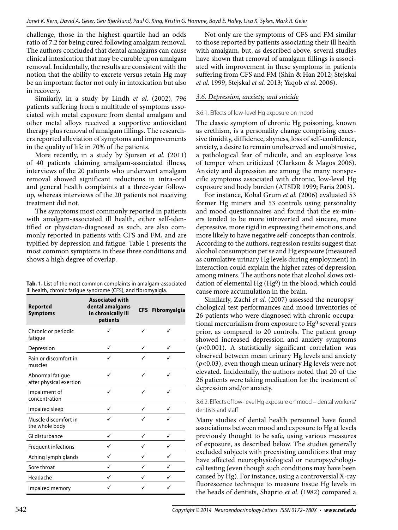challenge, those in the highest quartile had an odds ratio of 7.2 for being cured following amalgam removal. The authors concluded that dental amalgams can cause clinical intoxication that may be curable upon amalgam removal. Incidentally, the results are consistent with the notion that the ability to excrete versus retain Hg may be an important factor not only in intoxication but also in recovery.

Similarly, in a study by Lindh *et al.* (2002), 796 patients suffering from a multitude of symptoms associated with metal exposure from dental amalgam and other metal alloys received a supportive antioxidant therapy plus removal of amalgam fillings. The researchers reported alleviation of symptoms and improvements in the quality of life in 70% of the patients.

More recently, in a study by Sjursen *et al.* (2011) of 40 patients claiming amalgam-associated illness, interviews of the 20 patients who underwent amalgam removal showed significant reductions in intra-oral and general health complaints at a three-year followup, whereas interviews of the 20 patients not receiving treatment did not.

The symptoms most commonly reported in patients with amalgam-associated ill health, either self-identified or physician-diagnosed as such, are also commonly reported in patients with CFS and FM, and are typified by depression and fatigue. Table 1 presents the most common symptoms in these three conditions and shows a high degree of overlap.

| <b>Tab. 1.</b> List of the most common complaints in amalgam-associated |  |
|-------------------------------------------------------------------------|--|
| ill health, chronic fatigue syndrome (CFS), and fibromyalgia.           |  |

| <b>Reported</b><br><b>Symptoms</b>          | <b>Associated with</b><br>dental amalgams<br>in chronically ill<br>patients |   | CFS Fibromyalgia |
|---------------------------------------------|-----------------------------------------------------------------------------|---|------------------|
| Chronic or periodic<br>fatigue              |                                                                             |   |                  |
| Depression                                  | ✓                                                                           | ✓ |                  |
| Pain or discomfort in<br>muscles            |                                                                             |   |                  |
| Abnormal fatigue<br>after physical exertion | ✓                                                                           | ✓ |                  |
| Impairment of<br>concentration              | ✓                                                                           |   |                  |
| Impaired sleep                              | ✓                                                                           | ✓ | ✓                |
| Muscle discomfort in<br>the whole body      |                                                                             |   |                  |
| GI disturbance                              | ✓                                                                           | ✓ | ✓                |
| Frequent infections                         | ✓                                                                           | ✓ |                  |
| Aching lymph glands                         | ✓                                                                           | ✓ | ✓                |
| Sore throat                                 | ✓                                                                           | ✓ | ✓                |
| Headache                                    | ✓                                                                           | ✓ |                  |
| Impaired memory                             | ✓                                                                           |   |                  |

Not only are the symptoms of CFS and FM similar to those reported by patients associating their ill health with amalgam, but, as described above, several studies have shown that removal of amalgam fillings is associated with improvement in these symptoms in patients suffering from CFS and FM (Shin & Han 2012; Stejskal *et al.* 1999, Stejskal *et al.* 2013; Yaqob *et al.* 2006).

# *3.6. Depression, anxiety, and suicide*

# 3.6.1. Effects of low-level Hg exposure on mood

The classic symptom of chronic Hg poisoning, known as erethism, is a personality change comprising excessive timidity, diffidence, shyness, loss of self-confidence, anxiety, a desire to remain unobserved and unobtrusive, a pathological fear of ridicule, and an explosive loss of temper when criticized (Clarkson & Magos 2006). Anxiety and depression are among the many nonspecific symptoms associated with chronic, low-level Hg exposure and body burden (ATSDR 1999; Faria 2003).

For instance, Kobal Grum *et al.* (2006) evaluated 53 former Hg miners and 53 controls using personality and mood questionnaires and found that the ex-miners tended to be more introverted and sincere, more depressive, more rigid in expressing their emotions, and more likely to have negative self-concepts than controls. According to the authors, regression results suggest that alcohol consumption per se and Hg exposure (measured as cumulative urinary Hg levels during employment) in interaction could explain the higher rates of depression among miners. The authors note that alcohol slows oxidation of elemental Hg (Hg<sup>0</sup>) in the blood, which could cause more accumulation in the brain.

Similarly, Zachi *et al.* (2007) assessed the neuropsychological test performances and mood inventories of 26 patients who were diagnosed with chronic occupational mercurialism from exposure to Hg<sup>0</sup> several years prior, as compared to 20 controls. The patient group showed increased depression and anxiety symptoms (*p<*0.001). A statistically significant correlation was observed between mean urinary Hg levels and anxiety (*p<*0.03), even though mean urinary Hg levels were not elevated. Incidentally, the authors noted that 20 of the 26 patients were taking medication for the treatment of depression and/or anxiety.

## 3.6.2. Effects of low-level Hg exposure on mood – dental workers/ dentists and staff

Many studies of dental health personnel have found associations between mood and exposure to Hg at levels previously thought to be safe, using various measures of exposure, as described below. The studies generally excluded subjects with preexisting conditions that may have affected neurophysiological or neuropsychological testing (even though such conditions may have been caused by Hg). For instance, using a controversial X-ray fluorescence technique to measure tissue Hg levels in the heads of dentists, Shaprio *et al.* (1982) compared a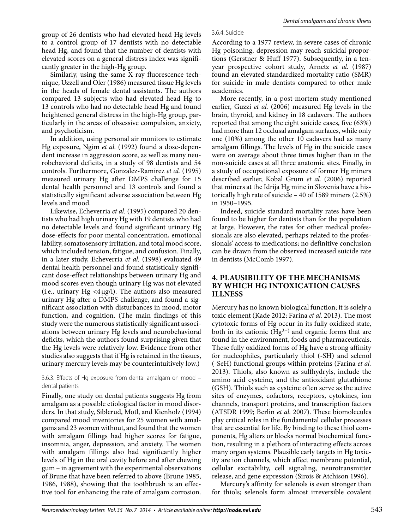group of 26 dentists who had elevated head Hg levels to a control group of 17 dentists with no detectable head Hg, and found that the number of dentists with elevated scores on a general distress index was significantly greater in the high-Hg group.

Similarly, using the same X-ray fluorescence technique, Uzzell and Oler (1986) measured tissue Hg levels in the heads of female dental assistants. The authors compared 13 subjects who had elevated head Hg to 13 controls who had no detectable head Hg and found heightened general distress in the high-Hg group, particularly in the areas of obsessive compulsion, anxiety, and psychoticism.

In addition, using personal air monitors to estimate Hg exposure, Ngim *et al.* (1992) found a dose-dependent increase in aggression score, as well as many neurobehavioral deficits, in a study of 98 dentists and 54 controls. Furthermore, Gonzalez-Ramirez *et al.* (1995) measured urinary Hg after DMPS challenge for 15 dental health personnel and 13 controls and found a statistically significant adverse association between Hg levels and mood.

Likewise, Echeverria *et al.* (1995) compared 20 dentists who had high urinary Hg with 19 dentists who had no detectable levels and found significant urinary Hg dose-effects for poor mental concentration, emotional lability, somatosensory irritation, and total mood score, which included tension, fatigue, and confusion. Finally, in a later study, Echeverria *et al.* (1998) evaluated 49 dental health personnel and found statistically significant dose-effect relationships between urinary Hg and mood scores even though urinary Hg was not elevated (i.e., urinary  $Hg \langle 4 \mu g/l$ ). The authors also measured urinary Hg after a DMPS challenge, and found a significant association with disturbances in mood, motor function, and cognition. (The main findings of this study were the numerous statistically significant associations between urinary Hg levels and neurobehavioral deficits, which the authors found surprising given that the Hg levels were relatively low. Evidence from other studies also suggests that if Hg is retained in the tissues, urinary mercury levels may be counterintuitively low.)

## 3.6.3. Effects of Hg exposure from dental amalgam on mood – dental patients

Finally, one study on dental patients suggests Hg from amalgam as a possible etiological factor in mood disorders. In that study, Siblerud, Motl, and Kienholz (1994) compared mood inventories for 25 women with amalgams and 23 women without, and found that the women with amalgam fillings had higher scores for fatigue, insomnia, anger, depression, and anxiety. The women with amalgam fillings also had significantly higher levels of Hg in the oral cavity before and after chewing gum – in agreement with the experimental observations of Brune that have been referred to above (Brune 1985, 1986, 1988), showing that the toothbrush is an effective tool for enhancing the rate of amalgam corrosion.

#### 3.6.4. Suicide

According to a 1977 review, in severe cases of chronic Hg poisoning, depression may reach suicidal proportions (Gerstner & Huff 1977). Subsequently, in a tenyear prospective cohort study, Arnetz *et al.* (1987) found an elevated standardized mortality ratio (SMR) for suicide in male dentists compared to other male academics.

More recently, in a post-mortem study mentioned earlier, Guzzi *et al.* (2006) measured Hg levels in the brain, thyroid, and kidney in 18 cadavers. The authors reported that among the eight suicide cases, five (63%) had more than 12 occlusal amalgam surfaces, while only one (10%) among the other 10 cadavers had as many amalgam fillings. The levels of Hg in the suicide cases were on average about three times higher than in the non-suicide cases at all three anatomic sites. Finally, in a study of occupational exposure of former Hg miners described earlier, Kobal Grum *et al.* (2006) reported that miners at the Idrija Hg mine in Slovenia have a historically high rate of suicide – 40 of 1589 miners (2.5%) in 1950–1995.

Indeed, suicide standard mortality rates have been found to be higher for dentists than for the population at large. However, the rates for other medical professionals are also elevated, perhaps related to the professionals' access to medications; no definitive conclusion can be drawn from the observed increased suicide rate in dentists (McComb 1997).

## **4. PLAUSIBILITY OF THE MECHANISMS BY WHICH HG INTOXICATION CAUSES ILLNESS**

Mercury has no known biological function; it is solely a toxic element (Kade 2012; Farina *et al.* 2013). The most cytotoxic forms of Hg occur in its fully oxidized state, both in its cationic  $(Hg^{2+})$  and organic forms that are found in the environment, foods and pharmaceuticals. These fully oxidized forms of Hg have a strong affinity for nucleophiles, particularly thiol (-SH) and selenol (-SeH) functional groups within proteins (Farina *et al.*  2013). Thiols, also known as sulfhydryls, include the amino acid cysteine, and the antioxidant glutathione (GSH). Thiols such as cysteine often serve as the active sites of enzymes, cofactors, receptors, cytokines, ion channels, transport proteins, and transcription factors (ATSDR 1999; Berlin *et al.* 2007). These biomolecules play critical roles in the fundamental cellular processes that are essential for life. By binding to these thiol components, Hg alters or blocks normal biochemical function, resulting in a plethora of interacting effects across many organ systems. Plausible early targets in Hg toxicity are ion channels, which affect membrane potential, cellular excitability, cell signaling, neurotransmitter release, and gene expression (Sirois & Atchison 1996).

Mercury's affinity for selenols is even stronger than for thiols; selenols form almost irreversible covalent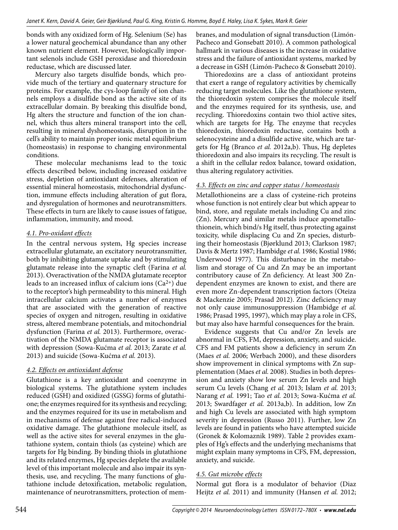bonds with any oxidized form of Hg. Selenium (Se) has a lower natural geochemical abundance than any other known nutrient element. However, biologically important selenols include GSH peroxidase and thioredoxin reductase, which are discussed later.

Mercury also targets disulfide bonds, which provide much of the tertiary and quaternary structure for proteins. For example, the cys-loop family of ion channels employs a disulfide bond as the active site of its extracellular domain. By breaking this disulfide bond, Hg alters the structure and function of the ion channel, which thus alters mineral transport into the cell, resulting in mineral dyshomeostasis, disruption in the cell's ability to maintain proper ionic metal equilibrium (homeostasis) in response to changing environmental conditions.

These molecular mechanisms lead to the toxic effects described below, including increased oxidative stress, depletion of antioxidant defenses, alteration of essential mineral homeostasis, mitochondrial dysfunction, immune effects including alteration of gut flora, and dysregulation of hormones and neurotransmitters. These effects in turn are likely to cause issues of fatigue, inflammation, immunity, and mood.

## *4.1. Pro-oxidant effects*

In the central nervous system, Hg species increase extracellular glutamate, an excitatory neurotransmitter, both by inhibiting glutamate uptake and by stimulating glutamate release into the synaptic cleft (Farina *et al.*  2013). Overactivation of the NMDA glutamate receptor leads to an increased influx of calcium ions  $(Ca^{2+})$  due to the receptor's high permeability to this mineral. High intracellular calcium activates a number of enzymes that are associated with the generation of reactive species of oxygen and nitrogen, resulting in oxidative stress, altered membrane potentials, and mitochondrial dysfunction (Farina *et al.* 2013). Furthermore, overactivation of the NMDA glutamate receptor is associated with depression (Sowa-Kućma *et al.* 2013; Zarate *et al.*  2013) and suicide (Sowa-Kućma *et al.* 2013).

## *4.2. Effects on antioxidant defense*

Glutathione is a key antioxidant and coenzyme in biological systems. The glutathione system includes reduced (GSH) and oxidized (GSSG) forms of glutathione; the enzymes required for its synthesis and recycling; and the enzymes required for its use in metabolism and in mechanisms of defense against free radical-induced oxidative damage. The glutathione molecule itself, as well as the active sites for several enzymes in the glutathione system, contain thiols (as cysteine) which are targets for Hg binding. By binding thiols in glutathione and its related enzymes, Hg species deplete the available level of this important molecule and also impair its synthesis, use, and recycling. The many functions of glutathione include detoxification, metabolic regulation, maintenance of neurotransmitters, protection of membranes, and modulation of signal transduction (Limón-Pacheco and Gonsebatt 2010). A common pathological hallmark in various diseases is the increase in oxidative stress and the failure of antioxidant systems, marked by a decrease in GSH (Limón-Pacheco & Gonsebatt 2010).

Thioredoxins are a class of antioxidant proteins that exert a range of regulatory activities by chemically reducing target molecules. Like the glutathione system, the thioredoxin system comprises the molecule itself and the enzymes required for its synthesis, use, and recycling. Thioredoxins contain two thiol active sites, which are targets for Hg. The enzyme that recycles thioredoxin, thioredoxin reductase, contains both a selenocysteine and a disulfide active site, which are targets for Hg (Branco *et al.* 2012a,b). Thus, Hg depletes thioredoxin and also impairs its recycling. The result is a shift in the cellular redox balance, toward oxidation, thus altering regulatory activities.

## *4.3. Effects on zinc and copper status / homeostasis*

Metallothioneins are a class of cysteine-rich proteins whose function is not entirely clear but which appear to bind, store, and regulate metals including Cu and zinc (Zn). Mercury and similar metals induce apometallothionein, which bind/s Hg itself, thus protecting against toxicity, while displacing Cu and Zn species, disturbing their homeostasis (Bjørklund 2013; Clarkson 1987; Davis & Mertz 1987; Hambidge *et al.* 1986; Kostial 1986; Underwood 1977). This disturbance in the metabolism and storage of Cu and Zn may be an important contributory cause of Zn deficiency. At least 300 Zndependent enzymes are known to exist, and there are even more Zn-dependent transcription factors (Oteiza & Mackenzie 2005; Prasad 2012). Zinc deficiency may not only cause immunosuppression (Hambidge *et al.*  1986; Prasad 1995, 1997), which may play a role in CFS, but may also have harmful consequences for the brain.

Evidence suggests that Cu and/or Zn levels are abnormal in CFS, FM, depression, anxiety, and suicide. CFS and FM patients show a deficiency in serum Zn (Maes *et al.* 2006; Werbach 2000), and these disorders show improvement in clinical symptoms with Zn supplementation (Maes *et al.* 2008). Studies in both depression and anxiety show low serum Zn levels and high serum Cu levels (Chang *et al.* 2013; Islam *et al.* 2013; Narang *et al.* 1991; Tao *et al.* 2013; Sowa-Kućma *et al.*  2013; Swardfager *et al.* 2013a,b). In addition, low Zn and high Cu levels are associated with high symptom severity in depression (Russo 2011). Further, low Zn levels are found in patients who have attempted suicide (Gronek & Kolomaznik 1989). Table 2 provides examples of Hg's effects and the underlying mechanisms that might explain many symptoms in CFS, FM, depression, anxiety, and suicide.

## *4.5. Gut microbe effects*

Normal gut flora is a modulator of behavior (Diaz Heijtz *et al.* 2011) and immunity (Hansen *et al.* 2012;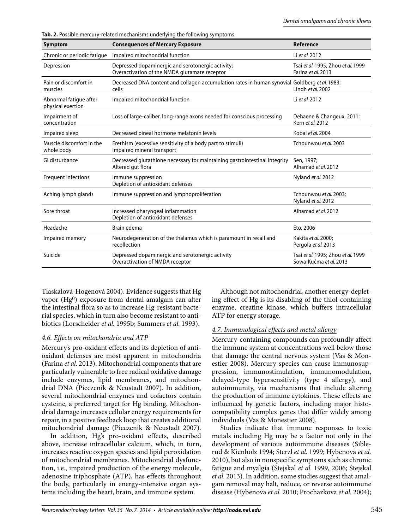**Tab. 2.** Possible mercury-related mechanisms underlying the following symptoms.

| Symptom                                     | <b>Consequences of Mercury Exposure</b>                                                                | Reference                                                    |
|---------------------------------------------|--------------------------------------------------------------------------------------------------------|--------------------------------------------------------------|
| Chronic or periodic fatique                 | Impaired mitochondrial function                                                                        | Li et al. 2012                                               |
| Depression                                  | Depressed dopaminergic and serotonergic activity;<br>Overactivation of the NMDA glutamate receptor     | Tsai et al. 1995; Zhou et al. 1999<br>Farina et al. 2013     |
| Pain or discomfort in<br>muscles            | Decreased DNA content and collagen accumulation rates in human synovial Goldberg et al. 1983;<br>cells | Lindh et al. 2002                                            |
| Abnormal fatigue after<br>physical exertion | Impaired mitochondrial function                                                                        | Li et al. 2012                                               |
| Impairment of<br>concentration              | Loss of large-caliber, long-range axons needed for conscious processing                                | Dehaene & Changeux, 2011;<br>Kern et al. 2012                |
| Impaired sleep                              | Decreased pineal hormone melatonin levels                                                              | Kobal et al. 2004                                            |
| Muscle discomfort in the<br>whole body      | Erethism (excessive sensitivity of a body part to stimuli)<br>Impaired mineral transport               | Tchounwou et al. 2003                                        |
| GI disturbance                              | Decreased glutathione necessary for maintaining gastrointestinal integrity<br>Altered gut flora        | Sen, 1997;<br>Alhamad et al. 2012                            |
| Frequent infections                         | Immune suppression<br>Depletion of antioxidant defenses                                                | Nyland et al. 2012                                           |
| Aching lymph glands                         | Immune suppression and lymphoproliferation                                                             | Tchounwou et al. 2003:<br>Nyland et al. 2012                 |
| Sore throat                                 | Increased pharyngeal inflammation<br>Depletion of antioxidant defenses                                 | Alhamad et al. 2012                                          |
| Headache                                    | Brain edema                                                                                            | Eto, 2006                                                    |
| Impaired memory                             | Neurodegeneration of the thalamus which is paramount in recall and<br>recollection                     | Kakita et al. 2000;<br>Pergola et al. 2013                   |
| Suicide                                     | Depressed dopaminergic and serotonergic activity<br>Overactivation of NMDA receptor                    | Tsai et al. 1995; Zhou et al. 1999<br>Sowa-Kućma et al. 2013 |

Tlaskalová-Hogenová 2004). Evidence suggests that Hg vapor (Hg0) exposure from dental amalgam can alter the intestinal flora so as to increase Hg-resistant bacterial species, which in turn also become resistant to antibiotics (Lorscheider *et al.* 1995b; Summers *et al.* 1993).

## *4.6. Effects on mitochondria and ATP*

Mercury's pro-oxidant effects and its depletion of antioxidant defenses are most apparent in mitochondria (Farina *et al.* 2013). Mitochondrial components that are particularly vulnerable to free radical oxidative damage include enzymes, lipid membranes, and mitochondrial DNA (Pieczenik & Neustadt 2007). In addition, several mitochondrial enzymes and cofactors contain cysteine, a preferred target for Hg binding. Mitochondrial damage increases cellular energy requirements for repair, in a positive feedback loop that creates additional mitochondrial damage (Pieczenik & Neustadt 2007).

In addition, Hg's pro-oxidant effects, described above, increase intracellular calcium, which, in turn, increases reactive oxygen species and lipid peroxidation of mitochondrial membranes. Mitochondrial dysfunction, i.e., impaired production of the energy molecule, adenosine triphosphate (ATP), has effects throughout the body, particularly in energy-intensive organ systems including the heart, brain, and immune system.

Although not mitochondrial, another energy-depleting effect of Hg is its disabling of the thiol-containing enzyme, creatine kinase, which buffers intracellular ATP for energy storage.

## *4.7. Immunological effects and metal allergy*

Mercury-containing compounds can profoundly affect the immune system at concentrations well below those that damage the central nervous system (Vas & Monestier 2008). Mercury species can cause immunosuppression, immunostimulation, immunomodulation, delayed-type hypersensitivity (type 4 allergy), and autoimmunity, via mechanisms that include altering the production of immune cytokines. These effects are influenced by genetic factors, including major histocompatibility complex genes that differ widely among individuals (Vas & Monestier 2008).

Studies indicate that immune responses to toxic metals including Hg may be a factor not only in the development of various autoimmune diseases (Siblerud & Kienholz 1994; Sterzl *et al.* 1999; Hybenova *et al.*  2010), but also in nonspecific symptoms such as chronic fatigue and myalgia (Stejskal *et al.* 1999, 2006; Stejskal *et al.* 2013). In addition, some studies suggest that amalgam removal may halt, reduce, or reverse autoimmune disease (Hybenova *et al.* 2010; Prochazkova *et al.* 2004);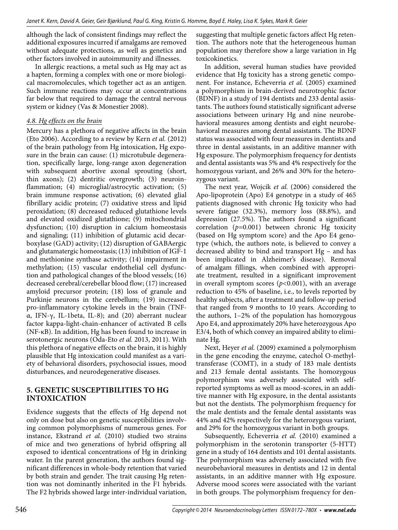although the lack of consistent findings may reflect the additional exposures incurred if amalgams are removed without adequate protections, as well as genetics and other factors involved in autoimmunity and illnesses.

In allergic reactions, a metal such as Hg may act as a hapten, forming a complex with one or more biological macromolecules, which together act as an antigen. Such immune reactions may occur at concentrations far below that required to damage the central nervous system or kidney (Vas & Monestier 2008).

## *4.8. Hg effects on the brain*

Mercury has a plethora of negative affects in the brain (Eto 2006). According to a review by Kern *et al.* (2012) of the brain pathology from Hg intoxication, Hg exposure in the brain can cause: (1) microtubule degeneration, specifically large, long-range axon degeneration with subsequent abortive axonal sprouting (short, thin axons); (2) dentritic overgrowth; (3) neuroinflammation; (4) microglial/astrocytic activation; (5) brain immune response activation; (6) elevated glial fibrillary acidic protein; (7) oxidative stress and lipid peroxidation; (8) decreased reduced glutathione levels and elevated oxidized glutathione; (9) mitochondrial dysfunction; (10) disruption in calcium homeostasis and signaling; (11) inhibition of glutamic acid decarboxylase (GAD) activity; (12) disruption of GABAergic and glutamatergic homeostasis; (13) inhibition of IGF-1 and methionine synthase activity; (14) impairment in methylation; (15) vascular endothelial cell dysfunction and pathological changes of the blood vessels; (16) decreased cerebral/cerebellar blood flow; (17) increased amyloid precursor protein; (18) loss of granule and Purkinje neurons in the cerebellum; (19) increased pro-inflammatory cytokine levels in the brain (TNFα, IFN-γ, IL-1beta, IL-8); and (20) aberrant nuclear factor kappa-light-chain-enhancer of activated B cells (NF-κB). In addition, Hg has been found to increase in serotonergic neurons (Oda-Eto *et al.* 2013, 2011). With this plethora of negative effects on the brain, it is highly plausible that Hg intoxication could manifest as a variety of behavioral disorders, psychosocial issues, mood disturbances, and neurodegenerative diseases.

## **5. GENETIC SUSCEPTIBILITIES TO HG INTOXICATION**

Evidence suggests that the effects of Hg depend not only on dose but also on genetic susceptibilities involving common polymorphisms of numerous genes. For instance, Ekstrand *et al.* (2010) studied two strains of mice and two generations of hybrid offspring all exposed to identical concentrations of Hg in drinking water. In the parent generation, the authors found significant differences in whole-body retention that varied by both strain and gender. The trait causing Hg retention was not dominantly inherited in the F1 hybrids. The F2 hybrids showed large inter-individual variation, suggesting that multiple genetic factors affect Hg retention. The authors note that the heterogeneous human population may therefore show a large variation in Hg toxicokinetics.

In addition, several human studies have provided evidence that Hg toxicity has a strong genetic component. For instance, Echeverria *et al.* (2005) examined a polymorphism in brain-derived neurotrophic factor (BDNF) in a study of 194 dentists and 233 dental assistants. The authors found statistically significant adverse associations between urinary Hg and nine neurobehavioral measures among dentists and eight neurobehavioral measures among dental assistants. The BDNF status was associated with four measures in dentists and three in dental assistants, in an additive manner with Hg exposure. The polymorphism frequency for dentists and dental assistants was 5% and 4% respectively for the homozygous variant, and 26% and 30% for the heterozygous variant.

The next year, Wojcik *et al.* (2006) considered the Apo-lipoprotein (Apo) E4 genotype in a study of 465 patients diagnosed with chronic Hg toxicity who had severe fatigue (32.3%), memory loss (88.8%), and depression (27.5%). The authors found a significant correlation (*p=*0.001) between chronic Hg toxicity (based on Hg symptom score) and the Apo E4 genotype (which, the authors note, is believed to convey a decreased ability to bind and transport Hg – and has been implicated in Alzheimer's disease). Removal of amalgam fillings, when combined with appropriate treatment, resulted in a significant improvement in overall symptom scores (*p<*0.001), with an average reduction to 45% of baseline, i.e., to levels reported by healthy subjects, after a treatment and follow-up period that ranged from 9 months to 10 years. According to the authors, 1–2% of the population has homozygous Apo E4, and approximately 20% have heterozygous Apo E3/4, both of which convey an impaired ability to eliminate Hg.

Next, Heyer *et al.* (2009) examined a polymorphism in the gene encoding the enzyme, catechol O-methyltransferase (COMT), in a study of 183 male dentists and 213 female dental assistants. The homozygous polymorphism was adversely associated with selfreported symptoms as well as mood-scores, in an additive manner with Hg exposure, in the dental assistants but not the dentists. The polymorphism frequency for the male dentists and the female dental assistants was 44% and 42% respectively for the heterozygous variant, and 29% for the homozygous variant in both groups.

Subsequently, Echeverria *et al.* (2010) examined a polymorphism in the serotonin transporter (5-HTT) gene in a study of 164 dentists and 101 dental assistants. The polymorphism was adversely associated with five neurobehavioral measures in dentists and 12 in dental assistants, in an additive manner with Hg exposure. Adverse mood scores were associated with the variant in both groups. The polymorphism frequency for den-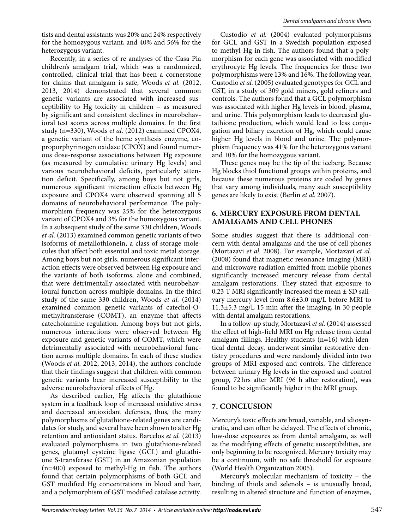tists and dental assistants was 20% and 24% respectively for the homozygous variant, and 40% and 56% for the heterozygous variant.

Recently, in a series of re analyses of the Casa Pia children's amalgam trial, which was a randomized, controlled, clinical trial that has been a cornerstone for claims that amalgam is safe, Woods *et al.* (2012, 2013, 2014) demonstrated that several common genetic variants are associated with increased susceptibility to Hg toxicity in children – as measured by significant and consistent declines in neurobehavioral test scores across multiple domains. In the first study (n=330), Woods *et al.* (2012) examined CPOX4, a genetic variant of the heme synthesis enzyme, coproporphyrinogen oxidase (CPOX) and found numerous dose-response associations between Hg exposure (as measured by cumulative urinary Hg levels) and various neurobehavioral deficits, particularly attention deficit. Specifically, among boys but not girls, numerous significant interaction effects between Hg exposure and CPOX4 were observed spanning all 5 domains of neurobehavioral performance. The polymorphism frequency was 25% for the heterozygous variant of CPOX4 and 3% for the homozygous variant. In a subsequent study of the same 330 children, Woods *et al.* (2013) examined common genetic variants of two isoforms of metallothionein, a class of storage molecules that affect both essential and toxic metal storage. Among boys but not girls, numerous significant interaction effects were observed between Hg exposure and the variants of both isoforms, alone and combined, that were detrimentally associated with neurobehavioural function across multiple domains. In the third study of the same 330 children, Woods *et al.* (2014) examined common genetic variants of catechol-Omethyltransferase (COMT), an enzyme that affects catecholamine regulation. Among boys but not girls, numerous interactions were observed between Hg exposure and genetic variants of COMT, which were detrimentally associated with neurobehavioral function across multiple domains. In each of these studies (Woods *et al.* 2012, 2013, 2014), the authors conclude that their findings suggest that children with common genetic variants bear increased susceptibility to the adverse neurobehavioral effects of Hg.

As described earlier, Hg affects the glutathione system in a feedback loop of increased oxidative stress and decreased antioxidant defenses, thus, the many polymorphisms of glutathione-related genes are candidates for study, and several have been shown to alter Hg retention and antioxidant status. Barcelos *et al.* (2013) evaluated polymorphisms in two glutathione-related genes, glutamyl cysteine ligase (GCL) and glutathione S-transferase (GST) in an Amazonian population (n=400) exposed to methyl-Hg in fish. The authors found that certain polymorphisms of both GCL and GST modified Hg concentrations in blood and hair, and a polymorphism of GST modified catalase activity.

Custodio *et al.* (2004) evaluated polymorphisms for GCL and GST in a Swedish population exposed to methyl-Hg in fish. The authors found that a polymorphism for each gene was associated with modified erythrocyte Hg levels. The frequencies for these two polymorphisms were 13% and 16%. The following year, Custodio *et al.* (2005) evaluated genotypes for GCL and GST, in a study of 309 gold miners, gold refiners and controls. The authors found that a GCL polymorphism was associated with higher Hg levels in blood, plasma, and urine. This polymorphism leads to decreased glutathione production, which would lead to less conjugation and biliary excretion of Hg, which could cause higher Hg levels in blood and urine. The polymorphism frequency was 41% for the heterozygous variant and 10% for the homozygous variant.

These genes may be the tip of the iceberg. Because Hg blocks thiol functional groups within proteins, and because these numerous proteins are coded by genes that vary among individuals, many such susceptibility genes are likely to exist (Berlin *et al.* 2007).

## **6. MERCURY EXPOSURE FROM DENTAL AMALGAMS AND CELL PHONES**

Some studies suggest that there is additional concern with dental amalgams and the use of cell phones (Mortazavi *et al.* 2008). For example, Mortazavi *et al.*  (2008) found that magnetic resonance imaging (MRI) and microwave radiation emitted from mobile phones significantly increased mercury release from dental amalgam restorations. They stated that exposure to  $0.23$  T MRI significantly increased the mean  $\pm$  SD salivary mercury level from 8.6±3.0 mg/L before MRI to 11.3±5.3 mg/L 15 min after the imaging, in 30 people with dental amalgam restorations.

In a follow-up study, Mortazavi *et al.* (2014) assessed the effect of high-field MRI on Hg release from dental amalgam fillings. Healthy students (n=16) with identical dental decay, underwent similar restorative dentistry procedures and were randomly divided into two groups of MRI-exposed and controls. The difference between urinary Hg levels in the exposed and control group, 72 hrs after MRI (96 h after restoration), was found to be significantly higher in the MRI group.

# **7. CONCLUSION**

Mercury's toxic effects are broad, variable, and idiosyncratic, and can often be delayed. The effects of chronic, low-dose exposures as from dental amalgam, as well as the modifying effects of genetic susceptibilities, are only beginning to be recognized. Mercury toxicity may be a continuum, with no safe threshold for exposure (World Health Organization 2005).

Mercury's molecular mechanism of toxicity – the binding of thiols and selenols – is unusually broad, resulting in altered structure and function of enzymes,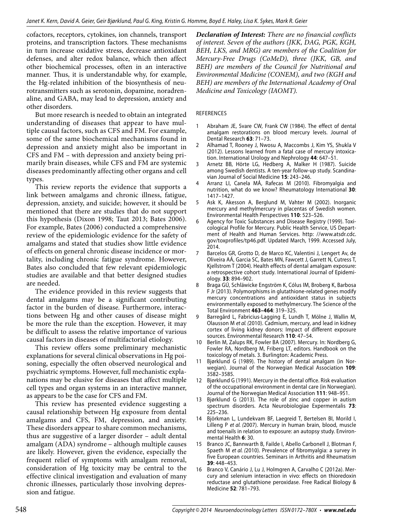cofactors, receptors, cytokines, ion channels, transport proteins, and transcription factors. These mechanisms in turn increase oxidative stress, decrease antioxidant defenses, and alter redox balance, which then affect other biochemical processes, often in an interactive manner. Thus, it is understandable why, for example, the Hg-related inhibition of the biosynthesis of neurotransmitters such as serotonin, dopamine, noradrenaline, and GABA, may lead to depression, anxiety and other disorders.

But more research is needed to obtain an integrated understanding of diseases that appear to have multiple causal factors, such as CFS and FM. For example, some of the same biochemical mechanisms found in depression and anxiety might also be important in CFS and FM – with depression and anxiety being primarily brain diseases, while CFS and FM are systemic diseases predominantly affecting other organs and cell types.

This review reports the evidence that supports a link between amalgams and chronic illness, fatigue, depression, anxiety, and suicide; however, it should be mentioned that there are studies that do not support this hypothesis (Dixon 1998; Taut 2013; Bates 2006). For example, Bates (2006) conducted a comprehensive review of the epidemiologic evidence for the safety of amalgams and stated that studies show little evidence of effects on general chronic disease incidence or mortality, including chronic fatigue syndrome. However, Bates also concluded that few relevant epidemiologic studies are available and that better designed studies are needed.

The evidence provided in this review suggests that dental amalgams may be a significant contributing factor in the burden of disease. Furthermore, interactions between Hg and other causes of disease might be more the rule than the exception. However, it may be difficult to assess the relative importance of various causal factors in diseases of multifactorial etiology.

This review offers some preliminary mechanistic explanations for several clinical observations in Hg poisoning, especially the often observed neurological and psychiatric symptoms. However, full mechanistic explanations may be elusive for diseases that affect multiple cell types and organ systems in an interactive manner, as appears to be the case for CFS and FM.

This review has presented evidence suggesting a causal relationship between Hg exposure from dental amalgams and CFS, FM, depression, and anxiety. These disorders appear to share common mechanisms, thus are suggestive of a larger disorder – adult dental amalgam (ADA) syndrome – although multiple causes are likely. However, given the evidence, especially the frequent relief of symptoms with amalgam removal, consideration of Hg toxicity may be central to the effective clinical investigation and evaluation of many chronic illnesses, particularly those involving depression and fatigue.

*Declaration of Interest: There are no financial conflicts of interest. Seven of the authors (JKK, DAG, PGK, KGH, BEH, LKS, and MRG) are members of the Coalition for Mercury-Free Drugs (CoMeD), three (JKK, GB, and BEH) are members of the Council for Nutritional and Environmental Medicine (CONEM), and two (KGH and BEH) are members of the International Academy of Oral Medicine and Toxicology (IAOMT).*

#### **REFERENCES**

- 1 Abraham JE, Svare CW, Frank CW (1984). The effect of dental amalgam restorations on blood mercury levels. Journal of Dental Research **63**: 71–73.
- 2 Alhamad T, Rooney J, Nwosu A, Maccombs J, Kim YS, Shukla V (2012). Lessons learned from a fatal case of mercury intoxication. International Urology and Nephrology **44**: 647–51.
- 3 Arnetz BB, Hörte LG, Hedberg A, Malker H (1987). Suicide among Swedish dentists. A ten-year follow-up study. Scandinavian Journal of Social Medicine **15**: 243–246.
- Arranz LI, Canela MÁ, Rafecas M (2010). Fibromyalgia and nutrition, what do we know? Rheumatology International **30**: 1417–1427.
- 5 Ask K, Akesson A, Berglund M, Vahter M (2002). Inorganic mercury and methylmercury in placentas of Swedish women. Environmental Health Perspectives **110**: 523–526.
- 6 Agency for Toxic Substances and Disease Registry (1999). Toxicological Profile for Mercury. Public Health Service, US Department of Health and Human Services. http: //www.atsdr.cdc. gov/toxprofiles/tp46.pdf. Updated March, 1999. Accessed July, 2014.
- 7 Barcelos GR, Grotto D, de Marco KC, Valentini J, Lengert Av, de Oliveira AÁ, Garcia SC, Bates MN, Fawcett J, Garrett N, Cutress T, Kjellstrom T (2004). Health effects of dental amalgam exposure: a retrospective cohort study. International Journal of Epidemiology. **33**: 894–902.
- 8 Braga GÚ, Schläwicke Engström K, Cólus IM, Broberg K, Barbosa F Jr (2013). Polymorphisms in glutathione-related genes modify mercury concentrations and antioxidant status in subjects environmentally exposed to methylmercury. The Science of the Total Environment **463–464**: 319–325.
- 9 Barregård L, Fabricius-Lagging E, Lundh T, Mölne J, Wallin M, Olausson M et al. (2010). Cadmium, mercury, and lead in kidney cortex of living kidney donors: Impact of different exposure sources. Environmental Research **110**: 47–54.
- 10 Berlin M, Zalups RK, Fowler BA (2007). Mercury. In: Nordberg G, Fowler RA, Nordberg M, Friberg LT, editors. Handbook on the toxicology of metals. 3. Burlington: Academic Press.
- 11 Bjørklund G (1989). The history of dental amalgam (in Norwegian). Journal of the Norwegian Medical Association **109**: 3582–3585.
- 12 Bjørklund G (1991). Mercury in the dental office. Risk evaluation of the occupational environment in dental care (in Norwegian). Journal of the Norwegian Medical Association **111**: 948–951.
- 13 Bjørklund G (2013). The role of zinc and copper in autism spectrum disorders. Acta Neurobiologiae Expermentalis **73**: 225–236.
- 14 Björkman L, Lundekvam BF, Laegreid T, Bertelsen BI, Morild I, Lilleng P et al. (2007). Mercury in human brain, blood, muscle and toenails in relation to exposure: an autopsy study. Environmental Health **6**: 30.
- 15 Branco JC, Bannwarth B, Failde I, Abello Carbonell J, Blotman F, Spaeth M et al. (2010). Prevalence of fibromyalgia: a survey in five European countries. Seminars in Arthritis and Rheumatism **39**: 448–453.
- 16 Branco V, Canário J, Lu J, Holmgren A, Carvalho C (2012a). Mercury and selenium interaction in vivo: effects on thioredoxin reductase and glutathione peroxidase. Free Radical Biology & Medicine **52**: 781–793.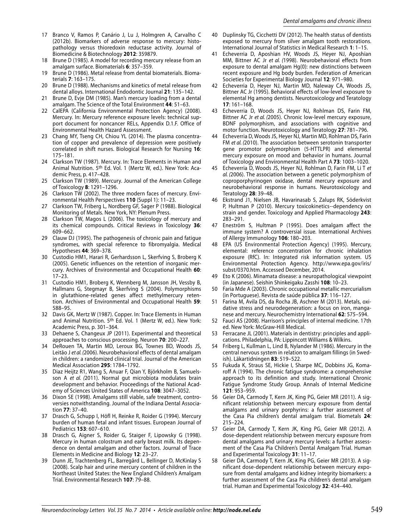- 17 Branco V, Ramos P, Canário J, Lu J, Holmgren A, Carvalho C (2012b). Biomarkers of adverse response to mercury: histopathology versus thioredoxin reductase activity. Journal of Biomedicine & Biotechnology **2012**: 359879.
- 18 Brune D (1985). A model for recording mercury release from an amalgam surface. Biomaterials **6**: 357–359.
- 19 Brune D (1986). Metal release from dental biomaterials. Biomaterials **7**: 163–175.
- 20 Brune D (1988). Mechanisms and kinetics of metal release from dental alloys. International Endodontic Journal **21**: 135–142.
- 21 Brune D, Evje DM (1985). Man's mercury loading from a dental amalgam. The Science of the Total Environment **44**: 51–63.
- 22 CalEPA (California Environmental Protection Agency) (2008). Mercury. In: Mercury reference exposure levels: technical support document for noncancer RELs, Appendix D.1.F. Office of Environmental Health Hazard Assessment.
- 23 Chang MY, Tseng CH, Chiou YL (2014). The plasma concentration of copper and prevalence of depression were positively correlated in shift nurses. Biological Research for Nursing **16**: 175–181.
- 24 Clarkson TW (1987). Mercury. In: Trace Elements in Human and Animal Nutrition. 5th Ed. Vol. 1 (Mertz W, ed.). New York: Academic Press, p. 417–428.
- 25 Clarkson TW (1989). Mercury. Journal of the American College of Toxicology **8**: 1291–1296.
- 26 Clarkson TW (2002). The three modern faces of mercury. Environmental Health Perspectives **110** (Suppl 1): 11–23.
- 27 Clarkson TW, Friberg L, Nordberg GF, Sager P (1988). Biological Monitoring of Metals. New York, NY: Plenum Press.
- 28 Clarkson TW, Magos L (2006). The toxicology of mercury and its chemical compounds. Critical Reviews in Toxicology **36**: 609–662.
- 29 Clauw DJ (1995). The pathogenesis of chronic pain and fatigue syndromes, with special reference to fibromyalgia. Medical Hypotheses **44**: 369–378.
- 30 Custodio HM1, Harari R, Gerhardsson L, Skerfving S, Broberg K (2005). Genetic influences on the retention of inorganic mercury. Archives of Environmental and Occupational Health **60**: 17–23.
- 31 Custodio HM1, Broberg K, Wennberg M, Jansson JH, Vessby B, Hallmans G, Stegmayr B, Skerfving S (2004). Polymorphisms in glutathione-related genes affect methylmercury retention. Archives of Environmental and Occupational Health **59**: 588–95.
- 32 Davis GK, Mertz W (1987). Copper. In: Trace Elements in Human and Animal Nutrition. 5th Ed. Vol. 1 (Mertz W, ed.). New York: Academic Press, p. 301–364.
- Dehaene S, Changeux JP (2011). Experimental and theoretical approaches to conscious processing. Neuron **70**: 200–227.
- 34 DeRouen TA, Martin MD, Leroux BG, Townes BD, Woods JS, Leitão J et al. (2006). Neurobehavioral effects of dental amalgam in children: a randomized clinical trial. Journal of the American Medical Association **295**: 1784–1792.
- 35 Diaz Heijtz R1, Wang S, Anuar F, Qian Y, Björkholm B, Samuelsson A et al. (2011). Normal gut microbiota modulates brain development and behavior. Proceedings of the National Academy of Sciences United States of America **108**: 3047–3052.
- 36 Dixon SE (1998). Amalgams still viable, safe treatment, controversies notwithstanding. Journal of the Indiana Dental Association **77**: 37–40.
- 37 Drasch G, Schupp I, Höfl H, Reinke R, Roider G (1994). Mercury burden of human fetal and infant tissues. European Journal of Pediatrics **153**: 607–610.
- 38 Drasch G, Aigner S, Roider G, Staiger F, Lipowsky G (1998). Mercury in human colostrum and early breast milk. Its dependence on dental amalgam and other factors. Journal of Trace Elements in Medicine and Biology **12**: 23–27.
- 39 Dunn JE, Trachtenberg FL, Barregård L, Bellinger D, McKinlay S (2008). Scalp hair and urine mercury content of children in the Northeast United States: the New England Children's Amalgam Trial. Environmental Research **107**: 79–88.
- 40 Duplinsky TG, Cicchetti DV (2012). The health status of dentists exposed to mercury from silver amalgam tooth restorations. International Journal of Statistics in Medical Research **1**: 1–15.
- 41 Echeverria D, Aposhian HV, Woods JS, Heyer NJ, Aposhian MM, Bittner AC Jr et al. (1998). Neurobehavioral effects from exposure to dental amalgam Hg(0): new distinctions between recent exposure and Hg body burden. Federation of American Societies for Experimental Biology Journal **12**: 971–980.
- 42 Echeverria D, Heyer NJ, Martin MD, Naleway CA, Woods JS, Bittner AC Jr (1995). Behavioral effects of low-level exposure to elemental Hg among dentists. Neurotoxicology and Teratology **17**: 161–168.
- Echeverria D, Woods JS, Heyer NJ, Rohlman DS, Farin FM, Bittner AC Jr et al. (2005). Chronic low-level mercury exposure, BDNF polymorphism, and associations with cognitive and motor function. Neurotoxicology and Teratology **27**: 781–796.
- Echeverria D, Woods JS, Heyer NJ, Martin MD, Rohlman DS, Farin FM et al. (2010). The association between serotonin transporter gene promotor polymorphism (5-HTTLPR) and elemental mercury exposure on mood and behavior in humans. Journal of Toxicology and Environmental Health Part A **73**: 1003–1020.
- 45 Echeverria D, Woods JS, Heyer NJ, Rohlman D, Farin FM, Li T et al. (2006). The association between a genetic polymorphism of coproporphyrinogen oxidase, dental mercury exposure and neurobehavioral response in humans. Neurotoxicology and Teratology **28**: 39–48.
- 46 Ekstrand J1, Nielsen JB, Havarinasab S, Zalups RK, Söderkvist P, Hultman P (2010). Mercury toxicokinetics--dependency on strain and gender. Toxicology and Applied Pharmacology **243**: 283–291.
- 47 Eneström S, Hultman P (1995). Does amalgam affect the immune system? A controversial issue. International Archives of Allergy Immunology **106**: 180–203.
- 48 EPA (US Environmental Protection Agency) (1995). Mercury, elemental: reference concentration for chronic inhalation exposure (RfC). In: Integrated risk information system. US Environmental Protection Agency. http://www.epa.gov/iris/ subst/0370.htm. Accessed December, 2014.
- 49 Eto K (2006). Minamata disease: a neuropathological viewpoint (in Japanese). Seishin Shinkeigaku Zasshi **108**: 10–23.
- 50 Faria Mde A (2003). Chronic occupational metallic mercurialism (in Portuguese). Revista de saúde pública **37**: 116–127.
- Farina M, Avila DS, da Rocha JB, Aschner M (2013). Metals, oxidative stress and neurodegeneration: a focus on iron, manganese and mercury. Neurochemistry International **62**: 575–594.
- 52 Fauci AS (2008). Harrison's principles of internal medicine. 17th ed. New York: McGraw-Hill Medical.
- Ferracane JL (2001). Materials in dentistry: principles and applications. Philadelphia, PA: Lippincott Williams & Wilkins.
- 54 Friberg L, Kullman L, Lind B, Nylander M (1986). Mercury in the central nervous system in relation to amalgam fillings (in Swedish). Läkartidningen **83**: 519–522.
- 55 Fukuda K, Straus SE, Hickie I, Sharpe MC, Dobbins JG, Komaroff A (1994). The chronic fatigue syndrome: a comprehensive approach to its definition and study. International Chronic Fatigue Syndrome Study Group. Annals of Internal Medicine **121**: 953–959.
- 56 Geier DA, Carmody T, Kern JK, King PG, Geier MR (2011). A significant relationship between mercury exposure from dental amalgams and urinary porphyrins: a further assessment of the Casa Pia children's dental amalgam trial. Biometals **24**: 215–224.
- 57 Geier DA, Carmody T, Kern JK, King PG, Geier MR (2012). A dose-dependent relationship between mercury exposure from dental amalgams and urinary mercury levels: a further assessment of the Casa Pia Children's Dental Amalgam Trial. Human and Experimental Toxicology **31**: 11–17.
- 58 Geier DA, Carmody T, Kern JK, King PG, Geier MR (2013). A significant dose-dependent relationship between mercury exposure from dental amalgams and kidney integrity biomarkers: a further assessment of the Casa Pia children's dental amalgam trial. Human and Experimental Toxicology **32**: 434–440.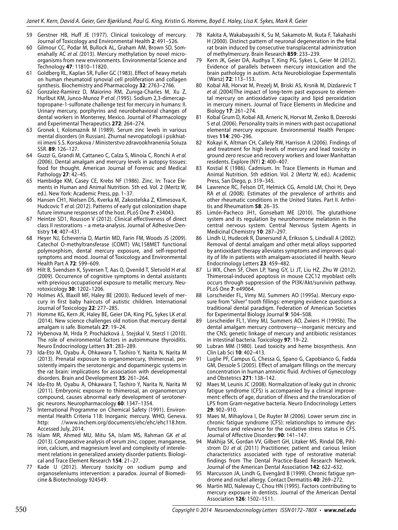- 59 Gerstner HB, Huff JE (1977). Clinical toxicology of mercury. Journal of Toxicology and Environmental Health **2**: 491–526.
- 60 Gilmour CC, Podar M, Bullock AL, Graham AM, Brown SD, Somenahally AC et al. (2013). Mercury methylation by novel microorganisms from new environments. Environmental Science and Technology **47**: 11810–11820.
- 61 Goldberg RL, Kaplan SR, Fuller GC (1983). Effect of heavy metals on human rheumatoid synovial cell proliferation and collagen synthesis. Biochemistry and Pharmacology **32**: 2763–2766.
- 62 Gonzalez-Ramirez D, Maiorino RM, Zuniga-Charles M, Xu Z, Hurlbut KM, Junco-Munoz P et al. (1995). Sodium 2,3-dimercaptopropane-1-sulfonate challenge test for mercury in humans: II. Urinary mercury, porphyrins and neurobehavioral changes of dental workers in Monterrey, Mexico. Journal of Pharmacology and Experimental Therapeutics **272**: 264–274.
- 63 Gronek I, Kolomaznik M (1989). Serum zinc levels in various mental disorders (in Russian). Zhurnal nevropatologii i psikhiatrii imeni S.S. Korsakova / Ministerstvo zdravookhraneniia Soiuza SSR. **89**: 126–127.
- 64 Guzzi G, Grandi M, Cattaneo C, Calza S, Minoia C, Ronchi A et al. (2006). Dental amalgam and mercury levels in autopsy tissues: food for thought. American Journal of Forensic and Medical Pathology **27**: 42–45.
- 65 Hambidge KM, Casey CE, Krebs NF (1986). Zinc. In: Trace Elements in Human and Animal Nutrition. 5th ed. Vol. 2 (Mertz W, ed.). New York: Academic Press, pp. 1–37.
- 66 Hansen CH1, Nielsen DS, Kverka M, Zakostelska Z, Klimesova K, Hudcovic T et al. (2012). Patterns of early gut colonization shape future immune responses of the host. PLoS One **7**: e34043.
- 67 Heintze SD1, Rousson V (2012). Clinical effectiveness of direct class II restorations – a meta-analysis. Journal of Adhesive Dentistry **14**: 407–431.
- 68 Heyer NJ, Echeverria D, Martin MD, Farin FM, Woods JS (2009). Catechol O-methyltransferase (COMT) VAL158MET functional polymorphism, dental mercury exposure, and self-reported symptoms and mood. Journal of Toxicology and Environmental Health Part A **72**: 599–609.
- 69 Hilt B, Svendsen K, Syversen T, Aas O, Qvenild T, Sletvold H et al. (2009). Occurrence of cognitive symptoms in dental assistants with previous occupational exposure to metallic mercury. Neurotoxicology **30**: 1202–1206.
- 70 Holmes AS, Blaxill MF, Haley BE (2003). Reduced levels of mercury in first baby haircuts of autistic children. International Journal of Toxicology **22**: 277–285.
- 71 Homme KG, Kern JK, Haley BE, Geier DA, King PG, Sykes LK et al. (2014). New science challenges old notion that mercury dental amalgam is safe. Biometals **27**: 19–24.
- 72 Hybenova M, Hrda P, Procházková J, Stejskal V, Sterzl I (2010). The role of environmental factors in autoimmune thyroiditis. Neuro Endocrinology Letters **31**: 283–289.
- 73 Ida-Eto M, Oyabu A, Ohkawara T, Tashiro Y, Narita N, Narita M (2013). Prenatal exposure to organomercury, thimerosal, persistently impairs the serotonergic and dopaminergic systems in the rat brain: implications for association with developmental disorders. Brain and Development **35**: 261–264.
- 74 Ida-Eto M, Oyabu A, Ohkawara T, Tashiro Y, Narita N, Narita M (2011). Embryonic exposure to thimerosal, an organomercury compound, causes abnormal early development of serotonergic neurons. Neuropharmacology **60**: 1347–1354.
- 75 International Programme on Chemical Safety (1991). Environmental Health Criteria 118: Inorganic mercury. WHO, Geneva. http: //www.inchem.org/documents/ehc/ehc/ehc118.htm. Accessed July, 2014.
- 76 Islam MR, Ahmed MU, Mitu SA, Islam MS, Rahman GK et al. (2013). Comparative analysis of serum zinc, copper, manganese, iron, calcium, and magnesium level and complexity of interelement relations in generalized anxiety disorder patients. Biological and Trace Element Research **154**: 21–27.
- 77 Kade IJ (2012). Mercury toxicity on sodium pump and organoseleniums intervention: a paradox. Journal of Biomedicine & Biotechnology 924549.
- 78 Kakita A, Wakabayashi K, Su M, Sakamoto M, Ikuta F, Takahashi H (2000). Distinct pattern of neuronal degeneration in the fetal rat brain induced by consecutive transplacental administration of methylmercury. Brain Research **859**: 233–239.
- 79 Kern JK, Geier DA, Audhya T, King PG, Sykes L, Geier M (2012). Evidence of parallels between mercury intoxication and the brain pathology in autism. Acta Neurobiologiae Expermentalis (Warsz) **72**: 113–153.
- 80 Kobal AB, Horvat M, Prezelj M, Briski AS, Krsnik M, Dizdarevic T et al. (2004)The impact of long-term past exposure to elemental mercury on antioxidative capacity and lipid peroxidation in mercury miners. Journal of Trace Elements in Medicine and Biology **17**: 261–274.
- 81 Kobal Grum D, Kobal AB, Arneric N, Horvat M, Zenko B, Dzeroski S et al. (2006). Personality traits in miners with past occupational elemental mercury exposure. Environmental Health Perspectives **114**: 290–296.
- 82 Kokayi K, Altman CH, Callely RW, Harrison A (2006). Findings of and treatment for high levels of mercury and lead toxicity in ground zero rescue and recovery workers and lower Manhattan residents. Explore (NY) **2**: 400–407.
- 83 Kostial K (1986). Cadmium. In: Trace Elements in Human and Animal Nutrition. 5th edition. Vol. 2 (Mertz W, ed.). Academic Press, San Diego, p. 319–345.
- Lawrence RC, Felson DT, Helmick CG, Arnold LM, Choi H, Deyo RA et al. (2008). Estimates of the prevalence of arthritis and other rheumatic conditions in the United States. Part II. Arthritis and Rheumatism **58**: 26–35.
- 85 Limón-Pacheco JH1, Gonsebatt ME (2010). The glutathione system and its regulation by neurohormone melatonin in the central nervous system. Central Nervous System Agents in Medicinal Chemistry **10**: 287–297.
- Lindh U, Hudecek R, Danersund A, Eriksson S, Lindvall A (2002). Removal of dental amalgam and other metal alloys supported by antioxidant therapy alleviates symptoms and improves quality of life in patients with amalgam-associated ill health. Neuro Endocrinology Letters **23**: 459–482.
- 87 Li WX, Chen SF, Chen LP, Yang GY, Li JT, Liu HZ, Zhu W (2012). Thimerosal-induced apoptosis in mouse C2C12 myoblast cells occurs through suppression of the PI3K/Akt/survivin pathway. PLoS One **7**: e49064.
- 88 Lorscheider FL, Vimy MJ, Summers AO (1995a). Mercury exposure from "silver" tooth fillings: emerging evidence questions a traditional dental paradigm. Federation of American Societies for Experimental Biology Journal **9**: 504–508.
- 89 Lorscheider FL1, Vimy MJ, Summers AO, Zwiers H (1995b). The dental amalgam mercury controversy––inorganic mercury and the CNS; genetic linkage of mercury and antibiotic resistances in intestinal bacteria. Toxicology **97**: 19–22.
- 90 Lubran MM (1980). Lead toxicity and heme biosynthesis. Ann Clin Lab Sci **10**: 402–413.
- 91 Luglie PF, Campus G, Chessa G, Spano G, Capobianco G, Fadda GM, Dessole S (2005). Effect of amalgam fillings on the mercury concentration in human amniotic fluid. Archives of Gynecology and Obstetrics **271**: 138–142.
- Maes M, Leunis JC (2008). Normalization of leaky gut in chronic fatigue syndrome (CFS) is accompanied by a clinical improvement: effects of age, duration of illness and the translocation of LPS from Gram-negative bacteria. Neuro Endocrinology Letters **29**: 902–910.
- 93 Maes M, Mihaylova I, De Ruyter M (2006). Lower serum zinc in chronic fatigue syndrome (CFS): relationships to immune dysfunctions and relevance for the oxidative stress status in CFS. Journal of Affective Disorders **90**: 141–147.
- 94 Makhija SK, Gordan VV, Gilbert GH, Litaker MS, Rindal DB, Pihlstrom DJ et al. (2011) Practitioner, patient and carious lesion characteristics associated with type of restorative material: findings from The Dental Practice-Based Research Network. Journal of the American Dental Association **142**: 622–632.
- 95 Marcusson JA, Lindh G, Evengård B (1999). Chronic fatigue syndrome and nickel allergy. Contact Dermatitis **40**: 269–272.
- 96 Martin MD, Naleway C, Chou HN (1995). Factors contributing to mercury exposure in dentists. Journal of the American Dental Association **126**: 1502–1511.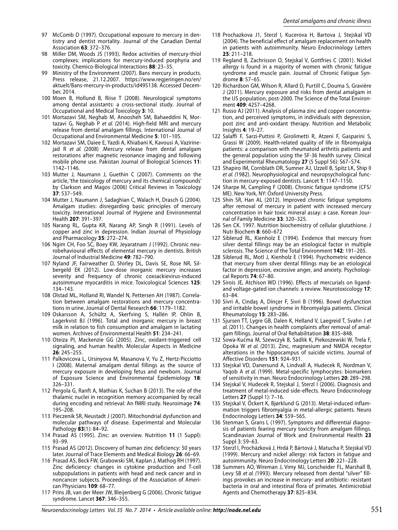- 97 McComb D (1997). Occupational exposure to mercury in dentistry and dentist mortality. Journal of the Canadian Dental Association **63**: 372–376.
- 98 Miller DM, Woods JS (1993). Redox activities of mercury-thiol complexes: implications for mercury-induced porphyria and toxicity. Chemico-Biological Interactions **88**: 23–35.
- 99 Ministry of the Environment (2007). Bans mercury in products. Press release, 21.12.2007. https://www.regjeringen.no/en/ aktuelt/Bans-mercury-in-products/id495138. Accessed December, 2014.
- 100 Moen B, Hollund B, Riise T (2008). Neurological symptoms among dental assistants: a cross-sectional study. Journal of Occupational and Medical Toxicology **3**: 10.
- 101 Mortazavi SM, Neghab M, Anoosheh SM, Bahaeddini N, Mortazavi G, Neghab P et al. (2014). High-field MRI and mercury release from dental amalgam fillings. International Journal of Occupational and Environmental Medicine **5**: 101–105.
- 102 Mortazavi SM, Daiee E, Yazdi A, Khiabani K, Kavousi A, Vazirinejad R et al. (2008) .Mercury release from dental amalgam restorations after magnetic resonance imaging and following mobile phone use. Pakistan Journal of Biological Sciences **11**: 1142–1146.
- 103 Mutter J, Naumann J, Guethin C (2007). Comments on the article, 'the toxicology of mercury and its chemical compounds' by Clarkson and Magos (2006) Critical Reviews in Toxicology **37**: 537–549.
- 104 Mutter J, Naumann J, Sadaghian C, Walach H, Drasch G (2004). Amalgam studies: disregarding basic principles of mercury toxicity. International Journal of Hygiene and Environmental Health **207**: 391–397.
- 105 Narang RL, Gupta KR, Narang AP, Singh R (1991). Levels of copper and zinc in depression. Indian Journal of Physiology and Pharmacology **35**: 272–274.
- 106 Ngim CH, Foo SC, Boey KW, Jeyaratnam J (1992). Chronic neurobehavioural effects of elemental mercury in dentists. British Journal of Industrial Medicine **49**: 782–790.
- 107 Nyland JF, Fairweather D, Shirley DL, Davis SE, Rose NR, Silbergeld EK (2012). Low-dose inorganic mercury increases severity and frequency of chronic coxsackievirus-induced autoimmune myocarditis in mice. Toxicological Sciences **125**: 134–143.
- 108 Olstad ML, Holland RI, Wandel N, Pettersen AH (1987). Correlation between amalgam restorations and mercury concentrations in urine. Journal of Dental Research **66**: 1179–1182.
- 109 Oskarsson A, Schültz A, Skerfving S, Hallén IP, Ohlin B, Lagerkvist BJ (1996). Total and inorganic mercury in breast milk in relation to fish consumption and amalgam in lactating women. Archives of Environmental Health **51**: 234–241.
- 110 Oteiza PI, Mackenzie GG (2005). Zinc, oxidant-triggered cell signaling, and human health. Molecular Aspects in Medicine **26**: 245–255.
- 111 Palkovicova L, Ursinyova M, Masanova V, Yu Z, Hertz-Picciotto I (2008). Maternal amalgam dental fillings as the source of mercury exposure in developing fetus and newborn. Journal of Exposure Science and Environmental Epidemiology **18**: 326–331.
- 112 Pergola G, Ranft A, Mathias K, Suchan B (2013). The role of the thalamic nuclei in recognition memory accompanied by recall during encoding and retrieval: An fMRI study. Neuroimage **74**: 195–208.
- 113 Pieczenik SR, Neustadt J (2007). Mitochondrial dysfunction and molecular pathways of disease. Experimental and Molecular Pathology **83**(1): 84–92.
- 114 Prasad AS (1995). Zinc: an overview. Nutrition **11** (1 Suppl): 93–99.
- 115 Prasad AS (2012). Discovery of human zinc deficiency: 50 years later. Journal of Trace Elements and Medical Biology **26**: 66–69.
- 116 Prasad AS, Beck FW, Grabowski SM, Kaplan J, Mathog RH (1997). Zinc deficiency: changes in cytokine production and T-cell subpopulations in patients with head and neck cancer and in noncancer subjects. Proceedings of the Association of American Physicians **109**: 68–77.
- 117 Prins JB, van der Meer JW, Bleijenberg G (2006). Chronic fatigue syndrome. Lancet **367**: 346–355.
- 118 Prochazkova J1, Sterzl I, Kucerova H, Bartova J, Stejskal VD (2004). The beneficial effect of amalgam replacement on health in patients with autoimmunity. Neuro Endocrinology Letters **25**: 211–218.
- 119 Regland B, Zachrisson O, Stejskal V, Gottfries C (2001). Nickel allergy is found in a majority of women with chronic fatigue syndrome and muscle pain. Journal of Chronic Fatigue Syndrome **8**: 57–65.
- 120 Richardson GM, Wilson R, Allard D, Purtill C, Douma S, Gravière J (2011). Mercury exposure and risks from dental amalgam in the US population, post-2000. The Science of the Total Environment **409**: 4257–4268.
- 121 Russo AJ (2011). Analysis of plasma zinc and copper concentration, and perceived symptoms, in individuals with depression, post zinc and anti-oxidant therapy. Nutrition and Metabolic Insights **4**: 19–27.
- 122 Salaffi F, Sarzi-Puttini P, Girolimetti R, Atzeni F, Gasparini S, Grassi W (2009). Health-related quality of life in fibromyalgia patients: a comparison with rheumatoid arthritis patients and the general population using the SF-36 health survey. Clinical and Experimental Rheumatology **27** (5 Suppl 56): S67–S74.
- 123 Shapiro IM, Cornblath DR, Sumner AJ, Uzzell B, Spitz LK, Ship II et al. (1982). Neurophysiological and neuropsychological function in mercury-exposed dentists. Lancet **1**: 1147–1150.
- 124 Sharpe M, Campling F (2008). Chronic fatigue syndrome (CFS/ ME). New York, NY: Oxford University Press.
- 125 Shin SR, Han AL (2012). Improved chronic fatigue symptoms after removal of mercury in patient with increased mercury concentration in hair toxic mineral assay: a case. Korean Journal of Family Medicine **33**: 320–325.
- 126 Sen CK. 1997. Nutrition biochemistry of cellular glutathione. J Nutr Biochem **8**: 660–672
- 127 Siblerud RL, Kienholz E (1994). Evidence that mercury from silver dental fillings may be an etiological factor in multiple sclerosis. The Science of the Total Environment **142**: 191–205.
- 128 Siblerud RL, Motl J, Kienholz E (1994). Psychometric evidence that mercury from silver dental fillings may be an etiological factor in depression, excessive anger, and anxiety. Psychological Reports **74**: 67–80.
- 129 Sirois JE, Atchison WD (1996). Effects of mercurials on ligandand voltage-gated ion channels: a review. Neurotoxicology **17**: 63–84.
- 130 Sivri A, Cindaş A, Dinçer F, Sivri B (1996). Bowel dysfunction and irritable bowel syndrome in fibromyalgia patients. Clinical Rheumatology **15**: 283–286.
- 131 Sjursen TT, Lygre GB, Dalen K, Helland V, Laegreid T, Svahn J et al. (2011). Changes in health complaints after removal of amalgam fillings. Journal of Oral Rehabilitation **38**: 835–848.
- 132 Sowa-Kućma M, Szewczyk B, Sadlik K, Piekoszewski W, Trela F, Opoka W et al. (2013). Zinc, magnesium and NMDA receptor alterations in the hippocampus of suicide victims. Journal of Affective Disorders **151**: 924–931.
- 133 Stejskal VD, Danersund A, Lindvall A, Hudecek R, Nordman V, Yaqob A et al. (1999). Metal-specific lymphocytes: biomarkers of sensitivity in man. Neuro Endocrinology Letters **20**: 289–298.
- 134 Stejskal V, Hudecek R, Stejskal J, Sterzl I (2006). Diagnosis and treatment of metal-induced side-effects. Neuro Endocrinology Letters **27** (Suppl 1): 7–16.
- 135 Stejskal V, Öckert K, Bjørklund G (2013). Metal-induced inflammation triggers fibromyalgia in metal-allergic patients. Neuro Endocrinology Letters **34**: 559–565.
- 136 Stenman S, Grans L (1997). Symptoms and differential diagnosis of patients fearing mercury toxicity from amalgam fillings. Scandinavian Journal of Work and Environmental Health **23** Suppl 3: 59–63.
- 137 Sterzl I, Procházková J, Hrdá P, Bártová J, Matucha P, Stejskal VD (1999). Mercury and nickel allergy: risk factors in fatigue and autoimmunity. Neuro Endocrinology Letters **20**: 221–228.
- 138 Summers AO, Wireman J, Vimy MJ, Lorscheider FL, Marshall B, Levy SB et al. (1993). Mercury released from dental "silver" fillings provokes an increase in mercury- and antibiotic- resistant bacteria in oral and intestinal flora of primates. Antimicrobial Agents and Chemotherapy **37**: 825–834.